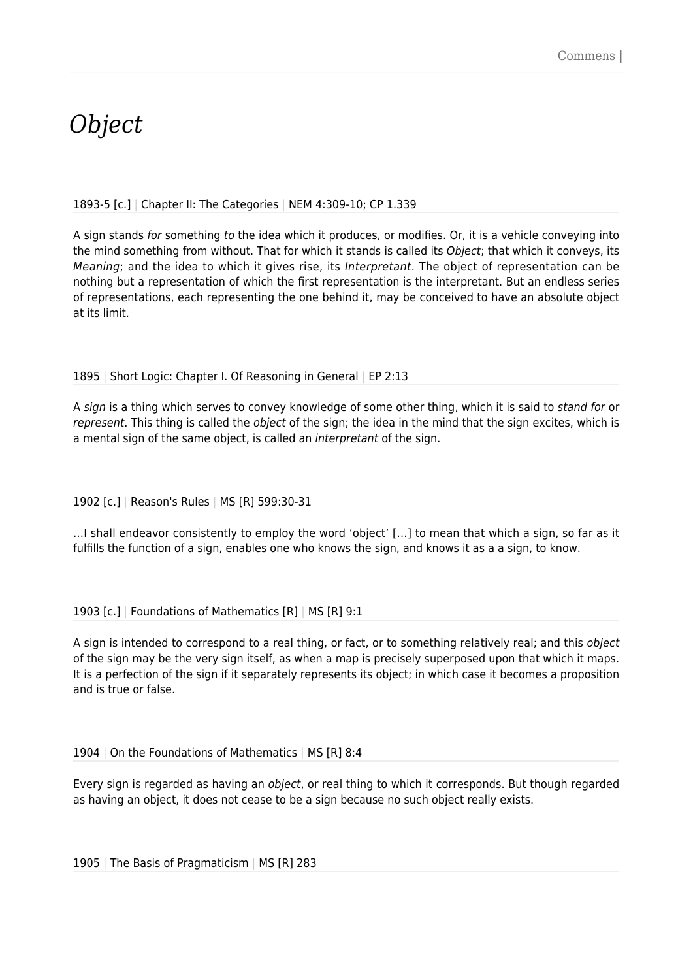# *Object*

#### 1893-5 [c.] | Chapter II: The Categories | NEM 4:309-10; CP 1.339

A sign stands for something to the idea which it produces, or modifies. Or, it is a vehicle conveying into the mind something from without. That for which it stands is called its Object; that which it conveys, its Meaning; and the idea to which it gives rise, its Interpretant. The object of representation can be nothing but a representation of which the first representation is the interpretant. But an endless series of representations, each representing the one behind it, may be conceived to have an absolute object at its limit.

#### 1895 | Short Logic: Chapter I. Of Reasoning in General | EP 2:13

A sign is a thing which serves to convey knowledge of some other thing, which it is said to stand for or represent. This thing is called the *object* of the sign; the idea in the mind that the sign excites, which is a mental sign of the same object, is called an interpretant of the sign.

1902 [c.] | Reason's Rules | MS [R] 599:30-31

…I shall endeavor consistently to employ the word 'object' […] to mean that which a sign, so far as it fulfills the function of a sign, enables one who knows the sign, and knows it as a a sign, to know.

1903 [c.] | Foundations of Mathematics [R] | MS [R] 9:1

A sign is intended to correspond to a real thing, or fact, or to something relatively real; and this *object* of the sign may be the very sign itself, as when a map is precisely superposed upon that which it maps. It is a perfection of the sign if it separately represents its object; in which case it becomes a proposition and is true or false.

1904 | On the Foundations of Mathematics | MS [R] 8:4

Every sign is regarded as having an object, or real thing to which it corresponds. But though regarded as having an object, it does not cease to be a sign because no such object really exists.

1905 | The Basis of Pragmaticism | MS [R] 283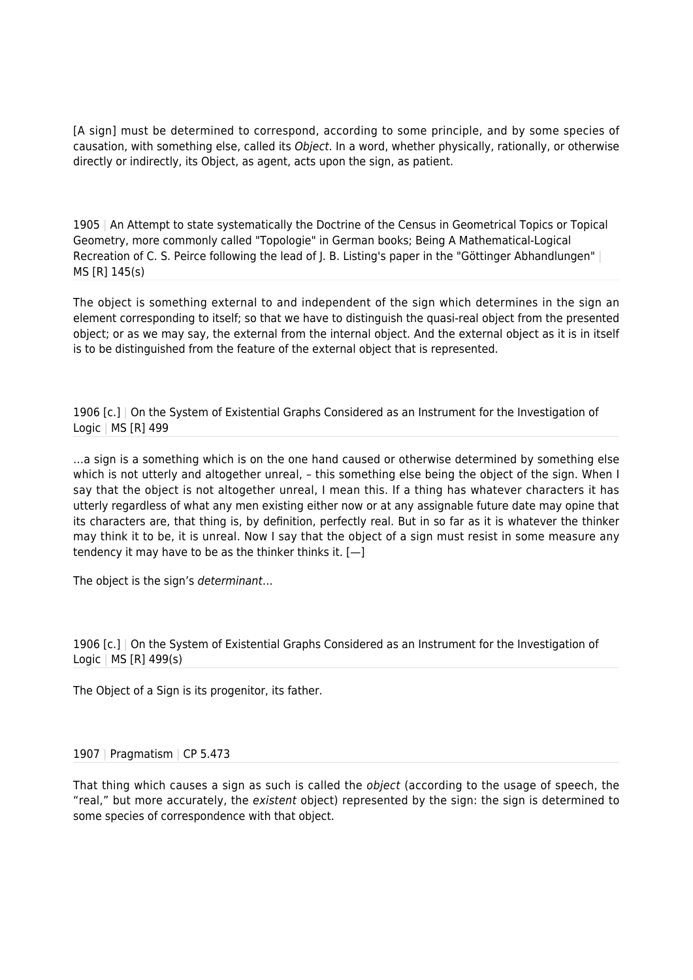[A sign] must be determined to correspond, according to some principle, and by some species of causation, with something else, called its Object. In a word, whether physically, rationally, or otherwise directly or indirectly, its Object, as agent, acts upon the sign, as patient.

1905 | An Attempt to state systematically the Doctrine of the Census in Geometrical Topics or Topical Geometry, more commonly called "Topologie" in German books; Being A Mathematical-Logical Recreation of C. S. Peirce following the lead of  $I$ . B. Listing's paper in the "Göttinger Abhandlungen" | MS [R] 145(s)

The object is something external to and independent of the sign which determines in the sign an element corresponding to itself; so that we have to distinguish the quasi-real object from the presented object; or as we may say, the external from the internal object. And the external object as it is in itself is to be distinguished from the feature of the external object that is represented.

1906 [c.] | On the System of Existential Graphs Considered as an Instrument for the Investigation of Logic | MS [R] 499

…a sign is a something which is on the one hand caused or otherwise determined by something else which is not utterly and altogether unreal, – this something else being the object of the sign. When I say that the object is not altogether unreal, I mean this. If a thing has whatever characters it has utterly regardless of what any men existing either now or at any assignable future date may opine that its characters are, that thing is, by definition, perfectly real. But in so far as it is whatever the thinker may think it to be, it is unreal. Now I say that the object of a sign must resist in some measure any tendency it may have to be as the thinker thinks it.  $[-]$ 

The object is the sign's determinant…

1906 [c.] | On the System of Existential Graphs Considered as an Instrument for the Investigation of Logic | MS [R] 499(s)

The Object of a Sign is its progenitor, its father.

#### 1907 | Pragmatism | CP 5.473

That thing which causes a sign as such is called the *object* (according to the usage of speech, the "real," but more accurately, the existent object) represented by the sign: the sign is determined to some species of correspondence with that object.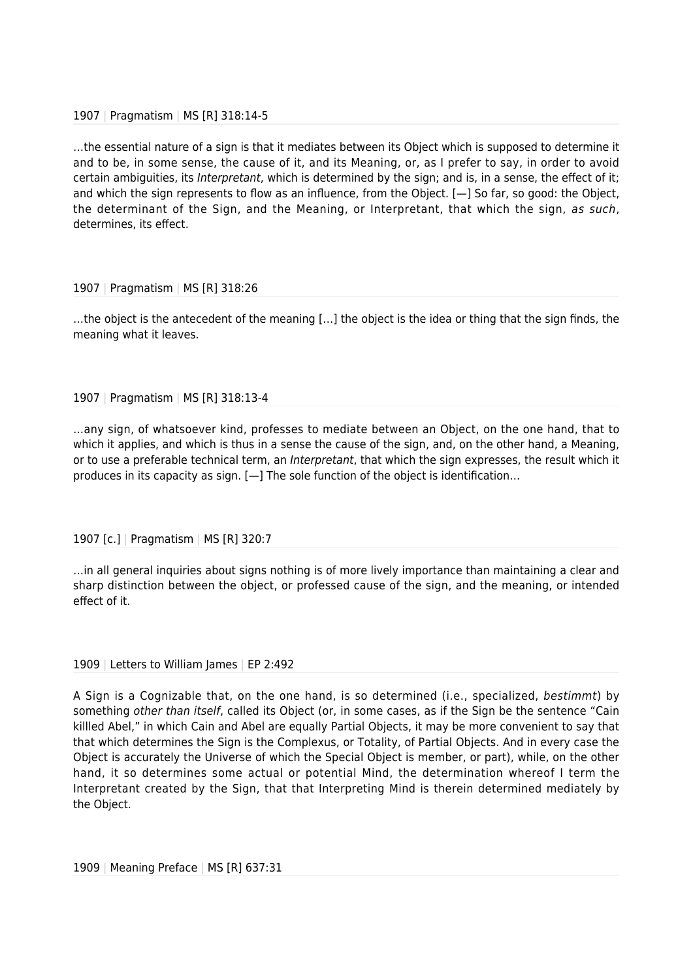#### 1907 | Pragmatism | MS [R] 318:14-5

…the essential nature of a sign is that it mediates between its Object which is supposed to determine it and to be, in some sense, the cause of it, and its Meaning, or, as I prefer to say, in order to avoid certain ambiguities, its Interpretant, which is determined by the sign; and is, in a sense, the effect of it; and which the sign represents to flow as an influence, from the Object. [—] So far, so good: the Object, the determinant of the Sign, and the Meaning, or Interpretant, that which the sign, as such, determines, its effect.

#### 1907 | Pragmatism | MS [R] 318:26

…the object is the antecedent of the meaning […] the object is the idea or thing that the sign finds, the meaning what it leaves.

#### 1907 | Pragmatism | MS [R] 318:13-4

…any sign, of whatsoever kind, professes to mediate between an Object, on the one hand, that to which it applies, and which is thus in a sense the cause of the sign, and, on the other hand, a Meaning, or to use a preferable technical term, an Interpretant, that which the sign expresses, the result which it produces in its capacity as sign. [—] The sole function of the object is identification…

1907 [c.] | Pragmatism | MS [R] 320:7

…in all general inquiries about signs nothing is of more lively importance than maintaining a clear and sharp distinction between the object, or professed cause of the sign, and the meaning, or intended effect of it.

#### 1909 | Letters to William James | EP 2:492

A Sign is a Cognizable that, on the one hand, is so determined (i.e., specialized, bestimmt) by something other than itself, called its Object (or, in some cases, as if the Sign be the sentence "Cain killled Abel," in which Cain and Abel are equally Partial Objects, it may be more convenient to say that that which determines the Sign is the Complexus, or Totality, of Partial Objects. And in every case the Object is accurately the Universe of which the Special Object is member, or part), while, on the other hand, it so determines some actual or potential Mind, the determination whereof I term the Interpretant created by the Sign, that that Interpreting Mind is therein determined mediately by the Object.